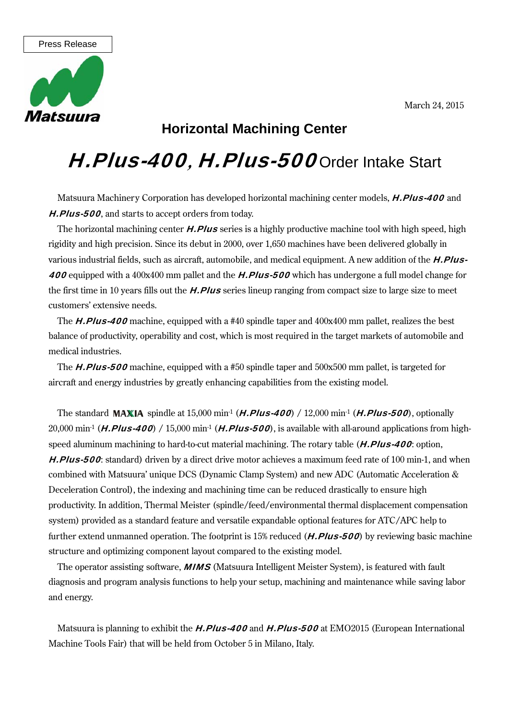March 24, 2015



## **Horizontal Machining Center**

## H. Plus-400, H. Plus-500 Order Intake Start

Matsuura Machinery Corporation has developed horizontal machining center models, **H.Plus-400** and H.Plus-500, and starts to accept orders from today.

The horizontal machining center **H.Plus** series is a highly productive machine tool with high speed, high rigidity and high precision. Since its debut in 2000, over 1,650 machines have been delivered globally in various industrial fields, such as aircraft, automobile, and medical equipment. A new addition of the **H.Plus-**400 equipped with a 400x400 mm pallet and the **H.Plus-500** which has undergone a full model change for the first time in 10 years fills out the **H.Plus** series lineup ranging from compact size to large size to meet customers' extensive needs.

The **H.Plus-400** machine, equipped with a #40 spindle taper and  $400x400$  mm pallet, realizes the best balance of productivity, operability and cost, which is most required in the target markets of automobile and medical industries.

The **H.Plus-500** machine, equipped with a #50 spindle taper and 500x500 mm pallet, is targeted for aircraft and energy industries by greatly enhancing capabilities from the existing model.

The standard **MAXIA** spindle at 15,000 min<sup>-1</sup> (*H.Plus-400*) / 12,000 min<sup>-1</sup> (*H.Plus-500*), optionally 20,000 min<sup>-1</sup> (**H.Plus-400**) / 15,000 min<sup>-1</sup> (**H.Plus-500**), is available with all-around applications from highspeed aluminum machining to hard-to-cut material machining. The rotary table (**H.Plus-400**: option, H.Plus-500: standard) driven by a direct drive motor achieves a maximum feed rate of 100 min-1, and when combined with Matsuura' unique DCS (Dynamic Clamp System) and new ADC (Automatic Acceleration & Deceleration Control), the indexing and machining time can be reduced drastically to ensure high productivity. In addition, Thermal Meister (spindle/feed/environmental thermal displacement compensation system) provided as a standard feature and versatile expandable optional features for ATC/APC help to further extend unmanned operation. The footprint is 15% reduced  $(H.PIus-500)$  by reviewing basic machine structure and optimizing component layout compared to the existing model.

The operator assisting software, **MIMS** (Matsuura Intelligent Meister System), is featured with fault diagnosis and program analysis functions to help your setup, machining and maintenance while saving labor and energy.

Matsuura is planning to exhibit the **H.Plus-400** and **H.Plus-500** at EMO2015 (European International Machine Tools Fair) that will be held from October 5 in Milano, Italy.